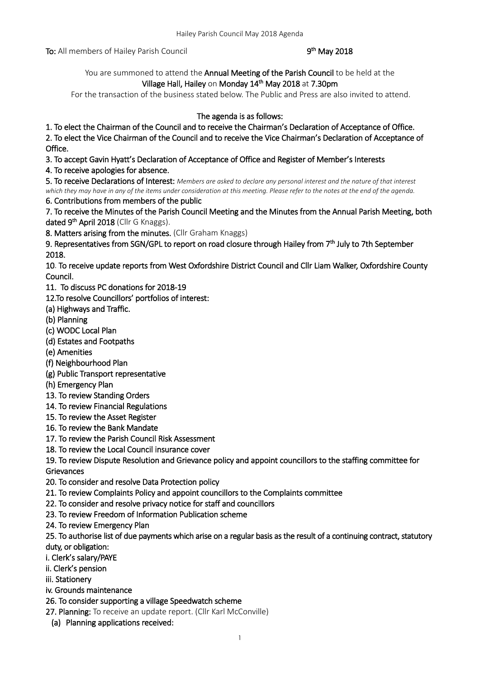To: All members of Hailey Parish Council

### <sup>th</sup> May 2018

You are summoned to attend the Annual Meeting of the Parish Council to be held at the Village Hall, Hailey on Monday 14<sup>th</sup> May 2018 at 7.30pm

For the transaction of the business stated below. The Public and Press are also invited to attend.

## The agenda is as follows:

1. To elect the Chairman of the Council and to receive the Chairman's Declaration of Acceptance of Office.

2. To elect the Vice Chairman of the Council and to receive the Vice Chairman's Declaration of Acceptance of Office.

3. To accept Gavin Hyatt's Declaration of Acceptance of Office and Register of Member's Interests

4. To receive apologies for absence.

5. To receive Declarations of Interest: *Members are asked to declare any personal interest and the nature of that interest which they may have in any of the items under consideration at this meeting. Please refer to the notes at the end of the agenda.*

6. Contributions from members of the public

7. To receive the Minutes of the Parish Council Meeting and the Minutes from the Annual Parish Meeting, both dated 9<sup>th</sup> April 2018 (Cllr G Knaggs).

8. Matters arising from the minutes. (Cllr Graham Knaggs)

9. Representatives from SGN/GPL to report on road closure through Hailey from 7<sup>th</sup> July to 7th September 2018.

10. To receive update reports from West Oxfordshire District Council and Cllr Liam Walker, Oxfordshire County Council.

11. To discuss PC donations for 2018-19

12.To resolve Councillors' portfolios of interest:

- (a) Highways and Traffic.
- (b) Planning
- (c) WODC Local Plan
- (d) Estates and Footpaths
- (e) Amenities
- (f) Neighbourhood Plan
- (g) Public Transport representative
- (h) Emergency Plan
- 13. To review Standing Orders
- 14. To review Financial Regulations
- 15. To review the Asset Register
- 16. To review the Bank Mandate
- 17. To review the Parish Council Risk Assessment
- 18. To review the Local Council insurance cover

19. To review Dispute Resolution and Grievance policy and appoint councillors to the staffing committee for **Grievances** 

- 20. To consider and resolve Data Protection policy
- 21. To review Complaints Policy and appoint councillors to the Complaints committee
- 22. To consider and resolve privacy notice for staff and councillors
- 23. To review Freedom of Information Publication scheme
- 24. To review Emergency Plan

25. To authorise list of due payments which arise on a regular basis as the result of a continuing contract, statutory duty, or obligation:

- i. Clerk's salary/PAYE
- ii. Clerk's pension
- iii. Stationery
- iv. Grounds maintenance
- 26. To consider supporting a village Speedwatch scheme

27. Planning: To receive an update report. (Cllr Karl McConville)

(a) Planning applications received: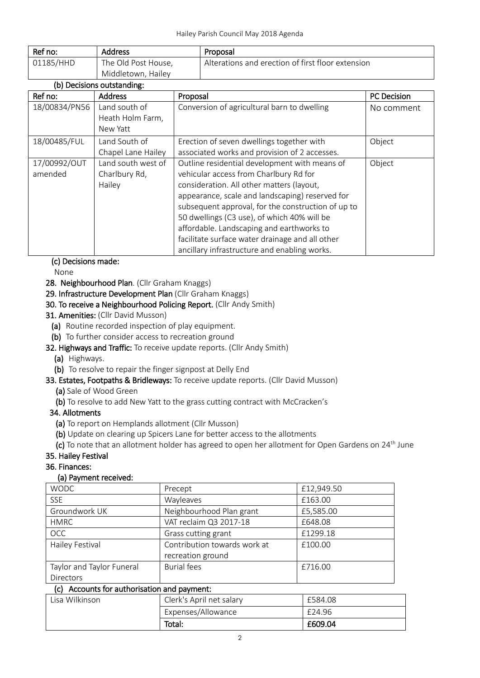| Ref no:   | <b>Address</b>      | Proposal                                          |
|-----------|---------------------|---------------------------------------------------|
| 01185/HHD | The Old Post House, | Alterations and erection of first floor extension |
|           | Middletown, Hailey  |                                                   |

| (b) Decisions outstanding: |                    |                                                    |                    |
|----------------------------|--------------------|----------------------------------------------------|--------------------|
| Ref no:                    | <b>Address</b>     | Proposal                                           | <b>PC</b> Decision |
| 18/00834/PN56              | Land south of      | Conversion of agricultural barn to dwelling        | No comment         |
|                            | Heath Holm Farm,   |                                                    |                    |
|                            | New Yatt           |                                                    |                    |
| 18/00485/FUL               | Land South of      | Erection of seven dwellings together with          | Object             |
|                            | Chapel Lane Hailey | associated works and provision of 2 accesses.      |                    |
| 17/00992/OUT               | Land south west of | Outline residential development with means of      | Object             |
| amended                    | Charlbury Rd,      | vehicular access from Charlbury Rd for             |                    |
|                            | Hailey             | consideration. All other matters (layout,          |                    |
|                            |                    | appearance, scale and landscaping) reserved for    |                    |
|                            |                    | subsequent approval, for the construction of up to |                    |
|                            |                    | 50 dwellings (C3 use), of which 40% will be        |                    |
|                            |                    | affordable. Landscaping and earthworks to          |                    |
|                            |                    | facilitate surface water drainage and all other    |                    |
|                            |                    | ancillary infrastructure and enabling works.       |                    |

### (c) Decisions made:

None

28. Neighbourhood Plan. (Cllr Graham Knaggs)

29. Infrastructure Development Plan (Cllr Graham Knaggs)

# 30. To receive a Neighbourhood Policing Report. (Cllr Andy Smith)

- 31. Amenities: (Cllr David Musson)
	- (a) Routine recorded inspection of play equipment.

(b) To further consider access to recreation ground

### 32. Highways and Traffic: To receive update reports. (Cllr Andy Smith)

- (a) Highways.
- (b) To resolve to repair the finger signpost at Delly End

# 33. Estates, Footpaths & Bridleways: To receive update reports. (Cllr David Musson)

- (a) Sale of Wood Green
- (b) To resolve to add New Yatt to the grass cutting contract with McCracken's

# 34. Allotments

- (a) To report on Hemplands allotment (Cllr Musson)
- (b) Update on clearing up Spicers Lane for better access to the allotments
- (c) To note that an allotment holder has agreed to open her allotment for Open Gardens on  $24<sup>th</sup>$  June

# 35. Hailey Festival

### 36. Finances:

# (a) Payment received:

| <b>WODC</b>               | Precept                      | £12,949.50 |
|---------------------------|------------------------------|------------|
| <b>SSE</b>                | Wayleaves                    | £163.00    |
| Groundwork UK             | Neighbourhood Plan grant     | £5,585.00  |
| <b>HMRC</b>               | VAT reclaim Q3 2017-18       | £648.08    |
| <b>OCC</b>                | Grass cutting grant          | £1299.18   |
| Hailey Festival           | Contribution towards work at | £100.00    |
|                           | recreation ground            |            |
| Taylor and Taylor Funeral | <b>Burial fees</b>           | £716.00    |
| Directors                 |                              |            |

### (c) Accounts for authorisation and payment:

| Lisa Wilkinson | Clerk's April net salary | £584.08 |
|----------------|--------------------------|---------|
|                | Expenses/Allowance       | £24.96  |
|                | Total:                   | £609.04 |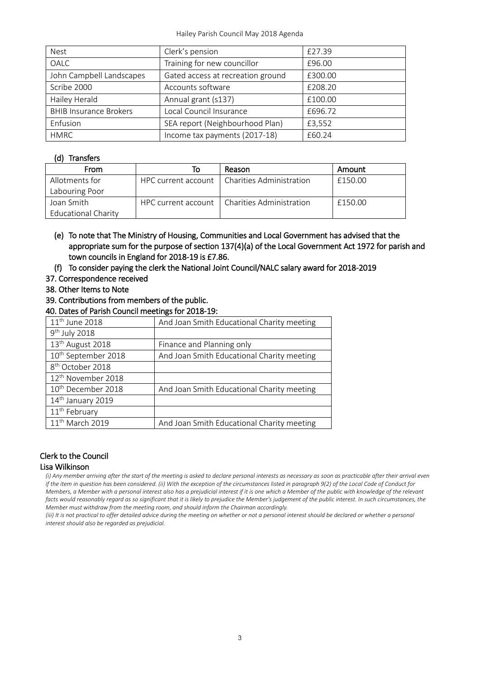| <b>Nest</b>                   | Clerk's pension                   | £27.39  |
|-------------------------------|-----------------------------------|---------|
| OALC                          | Training for new councillor       | £96.00  |
| John Campbell Landscapes      | Gated access at recreation ground | £300.00 |
| Scribe 2000                   | Accounts software                 | £208.20 |
| Hailey Herald                 | Annual grant (s137)               | £100.00 |
| <b>BHIB Insurance Brokers</b> | Local Council Insurance           | £696.72 |
| Enfusion                      | SEA report (Neighbourhood Plan)   | £3,552  |
| <b>HMRC</b>                   | Income tax payments (2017-18)     | £60.24  |

### (d) Transfers

| From                | ΙO | Reason                                         | Amount  |
|---------------------|----|------------------------------------------------|---------|
| Allotments for      |    | HPC current account   Charities Administration | £150.00 |
| Labouring Poor      |    |                                                |         |
| Joan Smith          |    | HPC current account   Charities Administration | £150.00 |
| Educational Charity |    |                                                |         |

- (e) To note that The Ministry of Housing, Communities and Local Government has advised that the appropriate sum for the purpose of section 137(4)(a) of the Local Government Act 1972 for parish and town councils in England for 2018-19 is £7.86.
- (f) To consider paying the clerk the National Joint Council/NALC salary award for 2018-2019
- 37. Correspondence received
- 38. Other Items to Note
- 39. Contributions from members of the public.
- 40. Dates of Parish Council meetings for 2018-19:

| 11 <sup>th</sup> June 2018      | And Joan Smith Educational Charity meeting |
|---------------------------------|--------------------------------------------|
| $9th$ July 2018                 |                                            |
| 13 <sup>th</sup> August 2018    | Finance and Planning only                  |
| 10 <sup>th</sup> September 2018 | And Joan Smith Educational Charity meeting |
| 8 <sup>th</sup> October 2018    |                                            |
| 12 <sup>th</sup> November 2018  |                                            |
| 10 <sup>th</sup> December 2018  | And Joan Smith Educational Charity meeting |
| 14 <sup>th</sup> January 2019   |                                            |
| 11 <sup>th</sup> February       |                                            |
| 11 <sup>th</sup> March 2019     | And Joan Smith Educational Charity meeting |

# Clerk to the Council

#### Lisa Wilkinson

*(i) Any member arriving after the start of the meeting is asked to declare personal interests as necessary as soon as practicable after their arrival even if the item in question has been considered. (ii) With the exception of the circumstances listed in paragraph 9(2) of the Local Code of Conduct for Members, a Member with a personal interest also has a prejudicial interest if it is one which a Member of the public with knowledge of the relevant*  facts would reasonably regard as so significant that it is likely to prejudice the Member's judgement of the public interest. In such circumstances, the *Member must withdraw from the meeting room, and should inform the Chairman accordingly.*

*(iii)* It is not practical to offer detailed advice during the meeting on whether or not a personal interest should be declared or whether a personal *interest should also be regarded as prejudicial.*